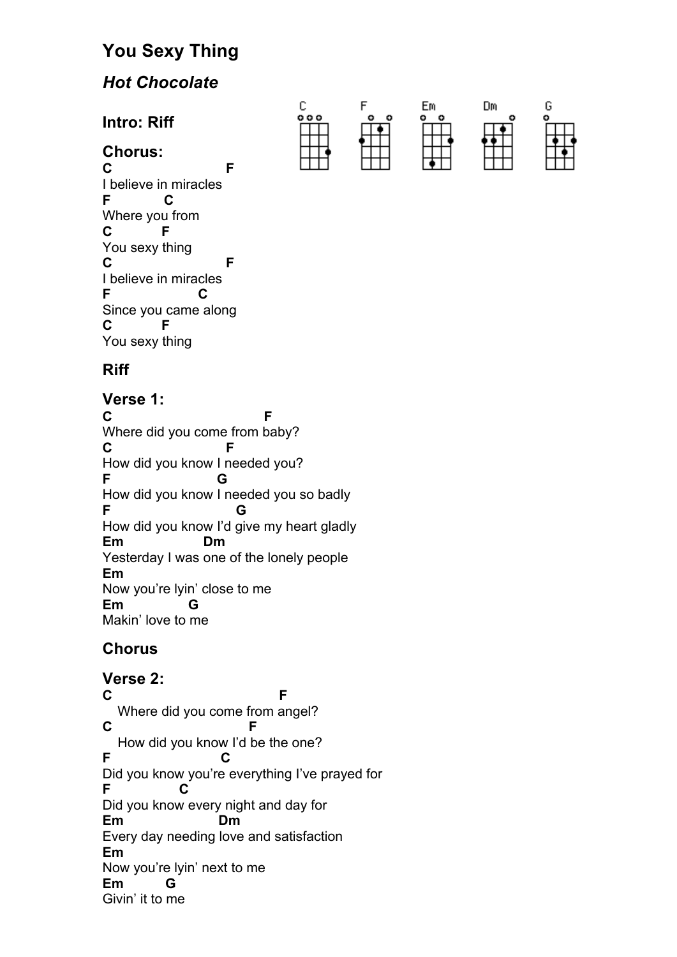# **You Sexy Thing**

# *Hot Chocolate*

**Intro: Riff**

## **Chorus:**

**C F** I believe in miracles **F C**  Where you from **C F**  You sexy thing **C F** I believe in miracles **F C** Since you came along **C F** You sexy thing



# **Riff**

#### **Verse 1: C F** Where did you come from baby? **C F**  How did you know I needed you? **F G**  How did you know I needed you so badly **F G**  How did you know I'd give my heart gladly **Em Dm**  Yesterday I was one of the lonely people **Em**  Now you're lyin' close to me **Em G** Makin' love to me

# **Chorus**

# **Verse 2:**

**C F** Where did you come from angel? **C F** How did you know I'd be the one? **F C**  Did you know you're everything I've prayed for **F C**  Did you know every night and day for **Em Dm**  Every day needing love and satisfaction **Em**  Now you're lyin' next to me **Em G** Givin' it to me